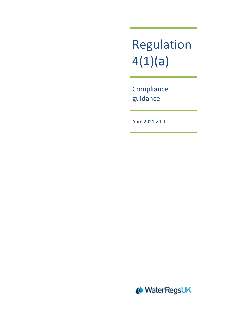Regulation 4(1)(a)

**Compliance** guidance

April 2021 v 1.1

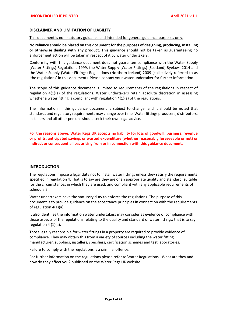#### **DISCLAIMER AND LIMITATION OF LIABILITY**

This document is non-statutory guidance and intended for general guidance purposes only.

**No reliance should be placed on this document for the purposes of designing, producing, installing or otherwise dealing with any product.** This guidance should not be taken as guaranteeing no enforcement action will be taken in respect of it by water undertakers.

Conformity with this guidance document does not guarantee compliance with the Water Supply (Water Fittings) Regulations 1999, the Water Supply (Water Fittings) (Scotland) Byelaws 2014 and the Water Supply (Water Fittings) Regulations (Northern Ireland) 2009 (collectively referred to as 'the regulations' in this document). Please contact your water undertaker for further information.

The scope of this guidance document is limited to requirements of the regulations in respect of regulation 4(1)(a) of the regulations. Water undertakers retain absolute discretion in assessing whether a water fitting is compliant with regulation 4(1)(a) of the regulations.

The information in this guidance document is subject to change, and it should be noted that standards and regulatory requirements may change over time. Water fittings producers, distributors, installers and all other persons should seek their own legal advice.

**For the reasons above, Water Regs UK accepts no liability for loss of goodwill, business, revenue or profits, anticipated savings or wasted expenditure (whether reasonably foreseeable or not) or indirect or consequential loss arising from or in connection with this guidance document.** 

#### **INTRODUCTION**

The regulations impose a legal duty not to install water fittings unless they satisfy the requirements specified in regulation 4. That is to say are they are of an appropriate quality and standard; suitable for the circumstances in which they are used; and compliant with any applicable requirements of schedule 2.

Water undertakers have the statutory duty to enforce the regulations. The purpose of this document is to provide guidance on the acceptance principles in connection with the requirements of regulation 4(1)(a).

It also identifies the information water undertakers may consider as evidence of compliance with those aspects of the regulations relating to the quality and standard of water fittings; that is to say regulation 4 (1)(a).

Those legally responsible for water fittings in a property are required to provide evidence of compliance. They may obtain this from a variety of sources including the water fitting manufacturer, suppliers, installers, specifiers, certification schemes and test laboratories.

Failure to comply with the regulations is a criminal offence.

For further information on the regulations please refer to Water Regulations - What are they and how do they affect you? published on the Water Regs UK website.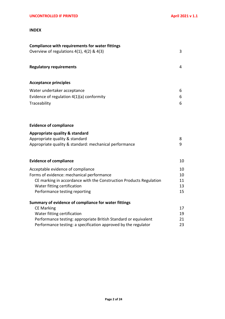# **INDEX**

| <b>Compliance with requirements for water fittings</b><br>Overview of regulations $4(1)$ , $4(2)$ & $4(3)$                                                                                                                                    | 3                          |
|-----------------------------------------------------------------------------------------------------------------------------------------------------------------------------------------------------------------------------------------------|----------------------------|
| <b>Regulatory requirements</b>                                                                                                                                                                                                                | 4                          |
| <b>Acceptance principles</b>                                                                                                                                                                                                                  |                            |
| Water undertaker acceptance<br>Evidence of regulation $4(1)(a)$ conformity<br>Traceability                                                                                                                                                    | 6<br>6<br>6                |
| <b>Evidence of compliance</b>                                                                                                                                                                                                                 |                            |
| <b>Appropriate quality &amp; standard</b><br>Appropriate quality & standard<br>Appropriate quality & standard: mechanical performance                                                                                                         | 8<br>9                     |
| <b>Evidence of compliance</b>                                                                                                                                                                                                                 | 10                         |
| Acceptable evidence of compliance<br>Forms of evidence: mechanical performance<br>CE marking in accordance with the Construction Products Regulation<br>Water fitting certification<br>Performance testing reporting                          | 10<br>10<br>11<br>13<br>15 |
| Summary of evidence of compliance for water fittings<br><b>CE Marking</b><br>Water fitting certification<br>Performance testing: appropriate British Standard or equivalent<br>Performance testing: a specification approved by the regulator | 17<br>19<br>21<br>23       |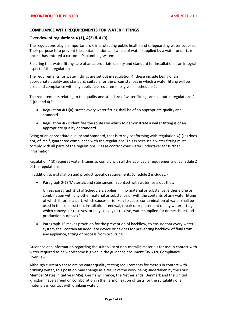## **COMPLIANCE WITH REQUIREMENTS FOR WATER FITTINGS**

### **Overview of regulations 4 (1), 4(2) & 4 (3)**

The regulations play an important role in protecting public health and safeguarding water supplies. Their purpose is to prevent the contamination and waste of water supplied by a water undertaker once it has entered a customer's plumbing system.

Ensuring that water fittings are of an appropriate quality and standard for installation is an integral aspect of the regulations.

The requirements for water fittings are set out in regulation 4, these include being of an appropriate quality and standard, suitable for the circumstances in which a water fitting will be used and compliance with any applicable requirements given in schedule 2.

The requirements relating to the quality and standard of water fittings are set out in regulations 4 (1)(a) and 4(2).

- Regulation 4(1)(a): states every water fitting shall be of an appropriate quality and standard.
- Regulation 4(2): identifies the routes by which to demonstrate a water fitting is of an appropriate quality or standard.

Being of an appropriate quality and standard, that is to say conforming with regulation  $4(1)(a)$  does not, of itself, guarantee compliance with the regulations. This is because a water fitting must comply with all parts of the regulations. Please contact your water undertaker for further information.

Regulation 4(3) requires water fittings to comply with all the applicable requirements of Schedule 2 of the regulations.

In addition to installation and product specific requirements Schedule 2 includes: -

• Paragraph 2(1) 'Materials and substances in contact with water' sets out that:

Unless paragraph 2(2) of Schedule 2 applies, '….no material or substance, either alone or in combination with any other material or substance or with the contents of any water fitting of which it forms a part, which causes or is likely to cause contamination of water shall be used in the construction, installation, renewal, repair or replacement of any water fitting which conveys or receives, or may convey or receive, water supplied for domestic or food production purposes.'

• Paragraph 15 makes provision for the prevention of backflow, to ensure that every water system shall contain an adequate device or devices for preventing backflow of fluid from any appliance, fitting or process from occurring.

Guidance and information regarding the suitability of non-metallic materials for use in contact with water required to be wholesome is given in the guidance document 'BS 6920 Compliance Overview'.

Although currently there are no water quality testing requirements for metals in contact with drinking water, this position may change as a result of the work being undertaken by the Four Member States Initiative (4MSi). Germany, France, the Netherlands, Denmark and the United Kingdom have agreed on collaboration in the harmonisation of tests for the suitability of all materials in contact with drinking water.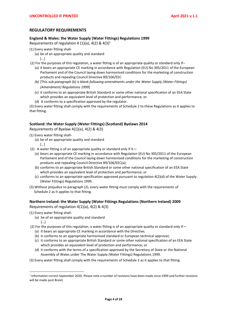# **REGULATORY REQUIREMENTS**

#### **England & Wales: the Water Supply (Water Fittings) Regulations 1999**

Requirements of regulation 4 (1)(a),  $4(2)$  &  $4(3)^1$ 

- (1) Every water fitting shall-
	- (a) be of an appropriate quality and standard […]
- (2) For the purposes of this regulation, a water fitting is of an appropriate quality or standard only if–
	- (a) it bears an appropriate CE marking in accordance with Regulation (EU) No 305/2011 of the European Parliament and of the Council laying down harmonised conditions for the marketing of construction products and repealing Council Directive 89/106/EEC
	- *(b)* [This *sub-paragraph (b) is blank following amendments under the Water Supply (Water Fittings) (Amendment) Regulations 1999*]
	- (c) it conforms to an appropriate British Standard or some other national specification of an EEA State which provides an equivalent level of protection and performance; or.
	- (d) It conforms to a specification approved by the regulator.

(3) Every water fitting shall comply with the requirements of Schedule 2 to these Regulations as it applies to that fitting.

# **Scotland: the Water Supply (Water Fittings) (Scotland) Byelaws 2014**

Requirements of Byelaw 4(1)(a), 4(2) & 4(3)

- (1) Every water fitting shall-
	- (a) be of an appropriate quality and standard […]
- (2) A water fitting is of an appropriate quality or standard only if it  $-$ 
	- (a) bears an appropriate CE marking in accordance with Regulation (EU) No 305/2011 of the European Parliament and of the Council laying down harmonised conditions for the marketing of construction products and repealing Council Directive 89/106/EEC(a);
	- (b) conforms to an appropriate British Standard or some other national specification of an EEA State which provides an equivalent level of protection and performance; or
	- (c) conforms to an appropriate specification approved pursuant to regulation 4(2)(d) of the Water Supply (Water Fittings) Regulations 1999.
- (3) Without prejudice to paragraph (2), every water fitting must comply with the requirements of Schedule 2 as it applies to that fitting.

### **Northern Ireland: the Water Supply (Water Fittings Regulations (Northern Ireland) 2009**

Requirements of regulation 4(1)(a), 4(2) & 4(3)

- (1) Every water fitting shall-
	- (a) be of an appropriate quality and standard […]
- (2) For the purposes of this regulation, a water fitting is of an appropriate quality or standard only if  $-$ (a) it bears an appropriate CE marking in accordance with the Directive;
	- (b) it conforms to an appropriate harmonised standard or European technical approval;
	- (c) it conforms to an appropriate British Standard or some other national specification of an EEA State which provides an equivalent level of protection and performance; or
	- (d) it conforms with the terms of a specification approved by the Secretary of State or the National Assembly of Wales under The Water Supply (Water Fittings) Regulations 1999.
- (3) Every water fitting shall comply with the requirements of Schedule 2 as it applies to that fitting.

<sup>&</sup>lt;sup>1</sup> Information correct September 2020. Please note a number of revisions have been made since 1999 and further revisions will be made post Brexit.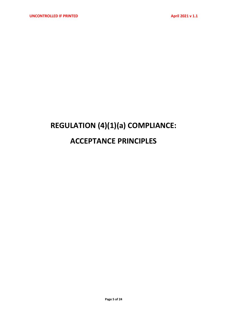# **REGULATION (4)(1)(a) COMPLIANCE: ACCEPTANCE PRINCIPLES**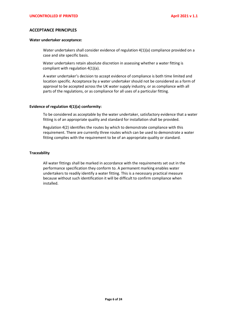#### **ACCEPTANCE PRINCIPLES**

#### **Water undertaker acceptance:**

Water undertakers shall consider evidence of regulation 4(1)(a) compliance provided on a case and site specific basis.

Water undertakers retain absolute discretion in assessing whether a water fitting is compliant with regulation 4(1)(a).

A water undertaker's decision to accept evidence of compliance is both time limited and location specific. Acceptance by a water undertaker should not be considered as a form of approval to be accepted across the UK water supply industry, or as compliance with all parts of the regulations, or as compliance for all uses of a particular fitting.

#### **Evidence of regulation 4(1)(a) conformity:**

To be considered as acceptable by the water undertaker, satisfactory evidence that a water fitting is of an appropriate quality and standard for installation shall be provided.

Regulation 4(2) identifies the routes by which to demonstrate compliance with this requirement. There are currently three routes which can be used to demonstrate a water fitting complies with the requirement to be of an appropriate quality or standard.

#### **Traceability**

All water fittings shall be marked in accordance with the requirements set out in the performance specification they conform to. A permanent marking enables water undertakers to readily identify a water fitting. This is a necessary practical measure because without such identification it will be difficult to confirm compliance when installed.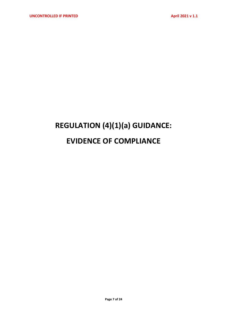# **REGULATION (4)(1)(a) GUIDANCE: EVIDENCE OF COMPLIANCE**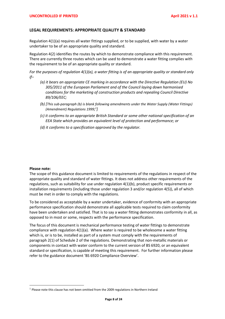#### **LEGAL REQUIREMENTS: APPROPRIATE QUALITY & STANDARD**

Regulation 4(1)(a) requires all water fittings supplied, or to be supplied, with water by a water undertaker to be of an appropriate quality and standard.

Regulation 4(2) identifies the routes by which to demonstrate compliance with this requirement. There are currently three routes which can be used to demonstrate a water fitting complies with the requirement to be of an appropriate quality or standard.

*For the purposes of regulation 4(1)(a), a water fitting is of an appropriate quality or standard only if–*

- *(a) it bears an appropriate CE marking in accordance with the Directive Regulation (EU) No 305/2011 of the European Parliament and of the Council laying down harmonised conditions for the marketing of construction products and repealing Council Directive 89/106/EEC;*
- *(b) [This sub-paragraph (b) is blank following amendments under the Water Supply (Water Fittings) (Amendment) Regulations 1999; 1 ]*
- *(c) it conforms to an appropriate British Standard or some other national specification of an EEA State which provides an equivalent level of protection and performance; or*
- *(d) it conforms to a specification approved by the regulator.*

#### **Please note:**

The scope of this guidance document is limited to requirements of the regulations in respect of the appropriate quality and standard of water fittings. It does not address other requirements of the regulations, such as suitability for use under regulation 4(1)(b), product specific requirements or installation requirements (including those under regulation 3 and/or regulation 4(5)), all of which must be met in order to comply with the regulations.

To be considered as acceptable by a water undertaker, evidence of conformity with an appropriate performance specification should demonstrate all applicable tests required to claim conformity have been undertaken and satisfied. That is to say a water fitting demonstrates conformity in all, as opposed to in most or some, respects with the performance specification.

The focus of this document is mechanical performance testing of water fittings to demonstrate compliance with regulation  $4(1)(a)$ . Where water is required to be wholesome a water fitting which is, or is to be, installed as part of a system must comply with the requirements of paragraph 2(1) of Schedule 2 of the regulations. Demonstrating that non-metallic materials or components in contact with water conform to the current version of BS 6920, or an equivalent standard or specification, is capable of meeting this requirement. For further information please refer to the guidance document 'BS 6920 Compliance Overview'.

 $<sup>1</sup>$  Please note this clause has not been omitted from the 2009 regulations in Northern Ireland</sup>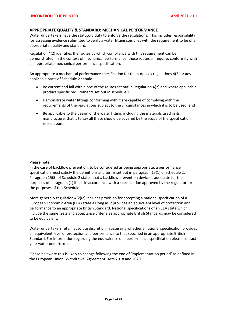# **APPROPRIATE QUALITY & STANDARD: MECHANICAL PERFORMANCE**

Water undertakers have the statutory duty to enforce the regulations. This includes responsibility for assessing evidence submitted to verify a water fitting complies with the requirement to be of an appropriate quality and standard.

Regulation 4(2) identifies the routes by which compliance with this requirement can be demonstrated. In the context of mechanical performance, those routes all require: conformity with an appropriate mechanical performance specification.

An appropriate a mechanical performance specification for the purposes regulations 4(2) or any applicable parts of Schedule 2 should: -

- Be current and fall within one of the routes set out in Regulation 4(2) and where applicable product specific requirements set out in schedule 2;
- Demonstrate water fittings conforming with it are capable of complying with the requirements of the regulations subject to the circumstances in which it is to be used; and
- Be applicable to the design of the water fitting, including the materials used in its manufacture, that is to say all these should be covered by the scope of the specification relied upon.

### **Please note:**

In the case of backflow prevention, to be considered as being appropriate, a performance specification must satisfy the definitions and terms set out in paragraph 15(1) of schedule 2. Paragraph 15(5) of Schedule 2 states that a backflow prevention device is adequate for the purposes of paragraph (1) if it is in accordance with a specification approved by the regulator for the purposes of this Schedule.

More generally regulation 4(2)(c) includes provision for accepting a national specification of a European Economic Area (EEA) state as long as it provides an equivalent level of protection and performance to an appropriate British Standard. National specifications of an EEA state which include the same tests and acceptance criteria as appropriate British Standards may be considered to be equivalent.

Water undertakers retain absolute discretion in assessing whether a national specification provides an equivalent level of protection and performance to that specified in an appropriate British Standard. For information regarding the equivalence of a performance specification please contact your water undertaker.

Please be aware this is likely to change following the end of 'implementation period' as defined in the European Union (Withdrawal Agreement) Acts 2018 and 2020.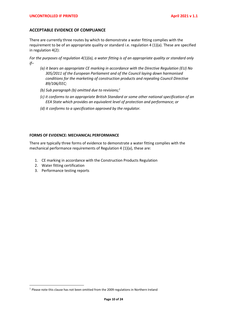### **ACCEPTABLE EVIDENCE OF COMPLIANCE**

There are currently three routes by which to demonstrate a water fitting complies with the requirement to be of an appropriate quality or standard i.e. regulation 4 (1)(a). These are specified in regulation 4(2):

*For the purposes of regulation 4(1)(a), a water fitting is of an appropriate quality or standard only if–*

- *(a) it bears an appropriate CE marking in accordance with the Directive Regulation (EU) No 305/2011 of the European Parliament and of the Council laying down harmonised conditions for the marketing of construction products and repealing Council Directive 89/106/EEC;*
- *(b) Sub paragraph (b) omitted due to revisions;<sup>1</sup>*
- *(c) it conforms to an appropriate British Standard or some other national specification of an EEA State which provides an equivalent level of protection and performance; or*
- *(d) it conforms to a specification approved by the regulator.*

#### **FORMS OF EVIDENCE: MECHANICAL PERFORMANCE**

There are typically three forms of evidence to demonstrate a water fitting complies with the mechanical performance requirements of Regulation 4 (1)(a), these are:

- 1. CE marking in accordance with the Construction Products Regulation
- 2. Water fitting certification
- 3. Performance testing reports

 $1$  Please note this clause has not been omitted from the 2009 regulations in Northern Ireland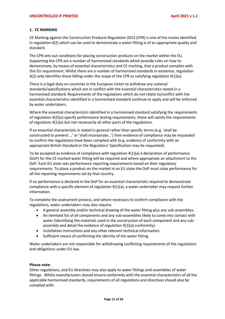# **1. CE MARKING**

CE Marking against the Construction Products Regulation 2013 (CPR) is one of the routes identified in regulation 4(2) which can be used to demonstrate a water fitting is of an appropriate quality and standard.

The CPR sets out conditions for placing construction products on the market within the EU. Supporting the CPR are a number of harmonised standards which provide rules on how to demonstrate, by means of essential characteristics and CE marking, that a product complies with this EU requirement. Whilst there are a number of harmonised standards in existence, regulation 4(2) only identifies those falling under the scope of the CPR as satisfying regulation 4(1)(a).

There is a legal duty on countries in the European Union to withdraw any national standards/specifications which are in conflict with the essential characteristics stated in a harmonised standard. Requirements of the regulations which do not relate to/conflict with the essential characteristics identified in a harmonised standard continue to apply and will be enforced by water undertakers.

Where the essential characteristics identified in a harmonised standard satisfying the requirements of regulation 4(2)(a) specify performance testing requirements, these will satisfy the requirements of regulation 4(1)(a) but not necessarily all other parts of the regulations.

If an essential characteristic is stated in general rather than specific terms (e.g. 'shall be constructed to prevent …' or 'shall incorporate…') then evidence of compliance may be requested to confirm the regulations have been complied with (e.g. evidence of conformity with an appropriate British Standard or the Regulators' Specification may be requested).

To be accepted as evidence of compliance with regulation 4(1)(a) a declaration of performance (DoP) for the CE marked water fitting will be required and where appropriate an attachment to the DoP. Each EU state sets performance reporting requirements based on their regulatory requirements. To place a product on the market in an EU state the DoP must state performance for all the reporting requirements set by that country.

If no performance is declared in the DoP for an essential characteristic required to demonstrate compliance with a specific element of regulation 4(1)(a), a water undertaker may request further information.

To complete the assessment process, and where necessary to confirm compliance with the regulations, water undertakers may also require:

- A general assembly and/or technical drawing of the water fitting plus any sub-assemblies.
- An itemised list of all components and any sub-assemblies likely to come into contact with water (identifying the materials used in the construction of each component and any subassembly and detail the evidence of regulation 4(1)(a) conformity).
- Installation instructions and any other relevant technical information.
- Sufficient means of confirming the identity of the water fitting.

Water undertakers are not responsible for withdrawing conflicting requirements of the regulations and obligations under EU law.

### **Please note:**

Other regulations, and EU directives may also apply to water fittings and assemblies of water fittings. Whilst manufacturers should ensure conformity with the essential characteristics of all the applicable harmonised standards, requirements of all regulations and directives should also be complied with.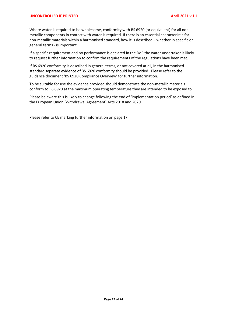#### **UNCONTROLLED IF PRINTED April 2021 v 1.1**

Where water is required to be wholesome, conformity with BS 6920 (or equivalent) for all nonmetallic components in contact with water is required. If there is an essential characteristic for non-metallic materials within a harmonised standard, how it is described – whether in specific or general terms - is important.

If a specific requirement and no performance is declared in the DoP the water undertaker is likely to request further information to confirm the requirements of the regulations have been met.

If BS 6920 conformity is described in general terms, or not covered at all, in the harmonised standard separate evidence of BS 6920 conformity should be provided. Please refer to the guidance document 'BS 6920 Compliance Overview' for further information.

To be suitable for use the evidence provided should demonstrate the non-metallic materials conform to BS 6920 at the maximum operating temperature they are intended to be exposed to.

Please be aware this is likely to change following the end of 'implementation period' as defined in the European Union (Withdrawal Agreement) Acts 2018 and 2020.

Please refer to CE marking further information on page 17.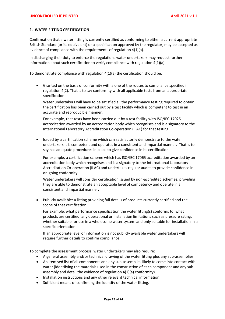#### **2. WATER FITTING CERTIFICATION**

Confirmation that a water fitting is currently certified as conforming to either a current appropriate British Standard (or its equivalent) or a specification approved by the regulator, may be accepted as evidence of compliance with the requirements of regulation 4(1)(a).

In discharging their duty to enforce the regulations water undertakers may request further information about such certification to verify compliance with regulation 4(1)(a).

To demonstrate compliance with regulation 4(1)(a) the certification should be:

• Granted on the basis of conformity with a one of the routes to compliance specified in regulation 4(2). That is to say conformity with all applicable tests from an appropriate specification.

Water undertakers will have to be satisfied all the performance testing required to obtain the certification has been carried out by a test facility which is competent to test in an accurate and reproducible manner.

For example, that tests have been carried out by a test facility with ISO/IEC 17025 accreditation awarded by an accreditation body which recognises and is a signatory to the International Laboratory Accreditation Co-operation (ILAC) for that testing.

Issued by a certification scheme which can satisfactorily demonstrate to the water undertakers it is competent and operates in a consistent and impartial manner. That is to say has adequate procedures in place to give confidence in its certification.

For example, a certification scheme which has ISO/IEC 17065 accreditation awarded by an accreditation body which recognises and is a signatory to the International Laboratory Accreditation Co-operation (ILAC) and undertakes regular audits to provide confidence in on-going conformity.

Water undertakers will consider certification issued by non-accredited schemes, providing they are able to demonstrate an acceptable level of competency and operate in a consistent and impartial manner.

• Publicly available: a listing providing full details of products currently certified and the scope of that certification.

For example, what performance specification the water fitting(s) conforms to, what products are certified, any operational or installation limitations such as pressure rating, whether suitable for use in a wholesome water system and only suitable for installation in a specific orientation.

If an appropriate level of information is not publicly available water undertakers will require further details to confirm compliance.

To complete the assessment process, water undertakers may also require:

- A general assembly and/or technical drawing of the water fitting plus any sub-assemblies.
- An itemised list of all components and any sub-assemblies likely to come into contact with water (identifying the materials used in the construction of each component and any subassembly and detail the evidence of regulation 4(1)(a) conformity).
- Installation instructions and any other relevant technical information.
- Sufficient means of confirming the identity of the water fitting.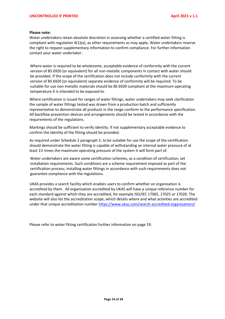#### **Please note:**

Water undertakers retain absolute discretion in assessing whether a certified water fitting is compliant with regulation 4(1)(a), as other requirements as may apply. Water undertakers reserve the right to request supplementary information to confirm compliance. For further information contact your water undertaker.

Where water is required to be wholesome, acceptable evidence of conformity with the current version of BS 6920 (or equivalent) for all non-metallic components in contact with water should be provided. If the scope of the certification does not include conformity with the current version of BS 6920 (or equivalent) separate evidence of conformity will be required. To be suitable for use non-metallic materials should be BS 6920 compliant at the maximum operating temperature it is intended to be exposed to.

Where certification is issued for ranges of water fittings, water undertakers may seek clarification the sample of water fittings tested was drawn from a production batch and sufficiently representative to demonstrate all products in the range conform to the performance specification. All backflow prevention devices and arrangements should be tested in accordance with the requirements of the regulations.

Markings should be sufficient to verify identity. If not supplementary acceptable evidence to confirm the identity of the fitting should be provided.

As required under Schedule 2 paragraph 5, to be suitable for use the scope of the certification should demonstrate the water fitting is capable of withstanding an internal water pressure of at least 1½ times the maximum operating pressure of the system it will form part of.

Water undertakers are aware some certification schemes, as a condition of certification, set installation requirements. Such conditions are a scheme requirement imposed as part of the certification process; installing water fittings in accordance with such requirements does not guarantee compliance with the regulations.

UKAS provides a search facility which enables users to confirm whether an organisation is accredited by them. All organisation accredited by UKAS will have a unique reference number for each standard against which they are accredited, for example ISO/IEC 17065, 17025 or 17020. The website will also list the accreditation scope, which details where and what activities are accredited under that unique accreditation number <https://www.ukas.com/search-accredited-organisations/>

Please refer to water fitting certification further information on page 19.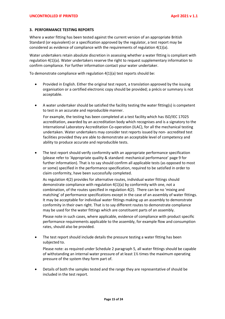#### **3. PERFORMANCE TESTING REPORTS**

Where a water fitting has been tested against the current version of an appropriate British Standard (or equivalent) or a specification approved by the regulator, a test report may be considered as evidence of compliance with the requirements of regulation 4(1)(a).

Water undertakers retain absolute discretion in assessing whether a water fitting is compliant with regulation 4(1)(a). Water undertakers reserve the right to request supplementary information to confirm compliance. For further information contact your water undertaker.

To demonstrate compliance with regulation 4(1)(a) test reports should be:

- Provided in English. Either the original test report, a translation approved by the issuing organisation or a certified electronic copy should be provided; a précis or summary is not acceptable.
- A water undertaker should be satisfied the facility testing the water fitting(s) is competent to test in an accurate and reproducible manner.

For example, the testing has been completed at a test facility which has ISO/IEC 17025 accreditation, awarded by an accreditation body which recognises and is a signatory to the International Laboratory Accreditation Co-operation (ILAC), for all the mechanical testing undertaken. Water undertakers may consider test reports issued by non- accredited test facilities provided they are able to demonstrate an acceptable level of competency and ability to produce accurate and reproducible tests.

The test report should verify conformity with an appropriate performance specification (please refer to 'Appropriate quality & standard: mechanical performance' page 9 for further information). That is to say should confirm all applicable tests (as opposed to most or some) specified in the performance specification, required to be satisfied in order to claim conformity, have been successfully completed.

As regulation 4(2) provides for alternative routes, individual water fittings should demonstrate compliance with regulation 4(1)(a) by conformity with one, not a combination, of the routes specified in regulation 4(2). There can be no 'mixing and matching' of performance specifications except in the case of an assembly of water fittings. It may be acceptable for individual water fittings making up an assembly to demonstrate conformity in their own right. That is to say different routes to demonstrate compliance may be used for the water fittings which are constituent parts of an assembly.

Please note in such cases, where applicable, evidence of compliance with product specific performance requirements applicable to the assembly, for example flow and consumption rates, should also be provided.

• The test report should include details the pressure testing a water fitting has been subjected to.

Please note: as required under Schedule 2 paragraph 5, all water fittings should be capable of withstanding an internal water pressure of at least  $1\frac{1}{2}$  times the maximum operating pressure of the system they form part of.

• Details of both the samples tested and the range they are representative of should be included in the test report.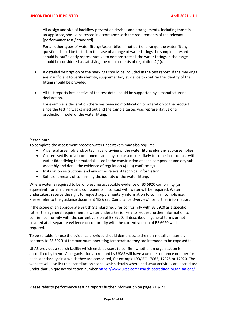All design and size of backflow prevention devices and arrangements, including those in an appliance, should be tested in accordance with the requirements of the relevant [performance test / standard].

For all other types of water fittings/assemblies, if not part of a range, the water fitting in question should be tested. In the case of a range of water fittings the sample(s) tested should be sufficiently representative to demonstrate all the water fittings in the range should be considered as satisfying the requirements of regulation 4(1)(a).

- A detailed description of the markings should be included in the test report. If the markings are insufficient to verify identity, supplementary evidence to confirm the identity of the fitting should be provided
- All test reports irrespective of the test date should be supported by a manufacturer's declaration.

For example, a declaration there has been no modification or alteration to the product since the testing was carried out and the sample tested was representative of a production model of the water fitting.

## **Please note:**

To complete the assessment process water undertakers may also require:

- A general assembly and/or technical drawing of the water fitting plus any sub-assemblies.
- An itemised list of all components and any sub-assemblies likely to come into contact with water (identifying the materials used in the construction of each component and any subassembly and detail the evidence of regulation 4(1)(a) conformity).
- Installation instructions and any other relevant technical information.
- Sufficient means of confirming the identity of the water fitting.

Where water is required to be wholesome acceptable evidence of BS 6920 conformity (or equivalent) for all non-metallic components in contact with water will be required. Water undertakers reserve the right to request supplementary information to confirm compliance. Please refer to the guidance document 'BS 6920 Compliance Overview' for further information.

If the scope of an appropriate British Standard requires conformity with BS 6920 as a specific rather than general requirement, a water undertaker is likely to request further information to confirm conformity with the current version of BS 6920. If described in general terms or not covered at all separate evidence of conformity with the current version of BS 6920 will be required.

To be suitable for use the evidence provided should demonstrate the non-metallic materials conform to BS 6920 at the maximum operating temperature they are intended to be exposed to.

UKAS provides a search facility which enables users to confirm whether an organisation is accredited by them. All organisation accredited by UKAS will have a unique reference number for each standard against which they are accredited, for example ISO/IEC 17065, 17025 or 17020. The website will also list the accreditation scope, which details where and what activities are accredited under that unique accreditation number <https://www.ukas.com/search-accredited-organisations/>

Please refer to performance testing reports further information on page 21 & 23.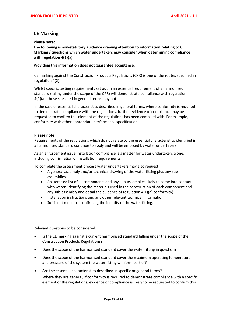# **CE Marking**

**Please note:**

**The following is non-statutory guidance drawing attention to information relating to CE Marking / questions which water undertakers may consider when determining compliance with regulation 4(1)(a).** 

**Providing this information does not guarantee acceptance.** 

CE marking against the Construction Products Regulations (CPR) is one of the routes specified in regulation 4(2).

Whilst specific testing requirements set out in an essential requirement of a harmonised standard (falling under the scope of the CPR) will demonstrate compliance with regulation 4(1)(a), those specified in general terms may not.

In the case of essential characteristics described in general terms, where conformity is required to demonstrate compliance with the regulations, further evidence of compliance may be requested to confirm this element of the regulations has been complied with. For example, conformity with other appropriate performance specifications.

### **Please note:**

Requirements of the regulations which do not relate to the essential characteristics identified in a harmonised standard continue to apply and will be enforced by water undertakers.

As an enforcement issue installation compliance is a matter for water undertakers alone, including confirmation of installation requirements.

To complete the assessment process water undertakers may also request:

- A general assembly and/or technical drawing of the water fitting plus any subassemblies.
- An itemised list of all components and any sub-assemblies likely to come into contact with water (identifying the materials used in the construction of each component and any sub-assembly and detail the evidence of regulation 4(1)(a) conformity).
- Installation instructions and any other relevant technical information.
- Sufficient means of confirming the identity of the water fitting.

Relevant questions to be considered:

- Is the CE marking against a current harmonised standard falling under the scope of the Construction Products Regulations?
- Does the scope of the harmonised standard cover the water fitting in question?
- Does the scope of the harmonised standard cover the maximum operating temperature and pressure of the system the water fitting will form part of?
- Are the essential characteristics described in specific or general terms?

Where they are general, if conformity is required to demonstrate compliance with a specific element of the regulations, evidence of compliance is likely to be requested to confirm this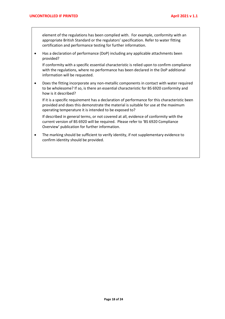element of the regulations has been complied with. For example, conformity with an appropriate British Standard or the regulators' specification. Refer to water fitting certification and performance testing for further information.

• Has a declaration of performance (DoP) including any applicable attachments been provided?

If conformity with a specific essential characteristic is relied upon to confirm compliance with the regulations, where no performance has been declared in the DoP additional information will be requested.

• Does the fitting incorporate any non-metallic components in contact with water required to be wholesome? If so, is there an essential characteristic for BS 6920 conformity and how is it described?

If it is a specific requirement has a declaration of performance for this characteristic been provided and does this demonstrate the material is suitable for use at the maximum operating temperature it is intended to be exposed to?

If described in general terms, or not covered at all, evidence of conformity with the current version of BS 6920 will be required. Please refer to 'BS 6920 Compliance Overview' publication for further information.

• The marking should be sufficient to verify identity, if not supplementary evidence to confirm identity should be provided.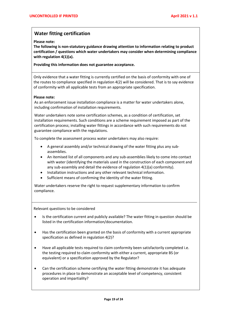# **Water fitting certification**

**Please note:**

**The following is non-statutory guidance drawing attention to information relating to product certification / questions which water undertakers may consider when determining compliance with regulation 4(1)(a).** 

**Providing this information does not guarantee acceptance.** 

Only evidence that a water fitting is currently certified on the basis of conformity with one of the routes to compliance specified in regulation 4(2) will be considered. That is to say evidence of conformity with all applicable tests from an appropriate specification.

#### **Please note:**

As an enforcement issue installation compliance is a matter for water undertakers alone, including confirmation of installation requirements.

Water undertakers note some certification schemes, as a condition of certification, set installation requirements. Such conditions are a scheme requirement imposed as part of the certification process; installing water fittings in accordance with such requirements do not guarantee compliance with the regulations.

To complete the assessment process water undertakers may also require:

- A general assembly and/or technical drawing of the water fitting plus any subassemblies.
- An itemised list of all components and any sub-assemblies likely to come into contact with water (identifying the materials used in the construction of each component and any sub-assembly and detail the evidence of regulation 4(1)(a) conformity).
- Installation instructions and any other relevant technical information.
- Sufficient means of confirming the identity of the water fitting.

Water undertakers reserve the right to request supplementary information to confirm compliance.

Relevant questions to be considered

- Is the certification current and publicly available? The water fitting in question should be listed in the certification information/documentation.
- Has the certification been granted on the basis of conformity with a current appropriate specification as defined in regulation 4(2)?
- Have all applicable tests required to claim conformity been satisfactorily completed i.e. the testing required to claim conformity with either a current, appropriate BS (or equivalent) or a specification approved by the Regulator?
- Can the certification scheme certifying the water fitting demonstrate it has adequate procedures in place to demonstrate an acceptable level of competency, consistent operation and impartiality?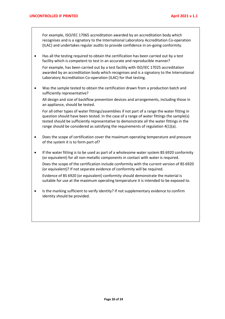For example, ISO/IEC 17065 accreditation awarded by an accreditation body which recognises and is a signatory to the International Laboratory Accreditation Co-operation (ILAC) and undertakes regular audits to provide confidence in on-going conformity.

• Has all the testing required to obtain the certification has been carried out by a test facility which is competent to test in an accurate and reproducible manner?

For example, has been carried out by a test facility with ISO/IEC 17025 accreditation awarded by an accreditation body which recognises and is a signatory to the International Laboratory Accreditation Co-operation (ILAC) for that testing.

• Was the sample tested to obtain the certification drawn from a production batch and sufficiently representative?

All design and size of backflow prevention devices and arrangements, including those in an appliance, should be tested.

For all other types of water fittings/assemblies if not part of a range the water fitting in question should have been tested. In the case of a range of water fittings the sample(s) tested should be sufficiently representative to demonstrate all the water fittings in the range should be considered as satisfying the requirements of regulation 4(1)(a).

- Does the scope of certification cover the maximum operating temperature and pressure of the system it is to form part of?
- If the water fitting is to be used as part of a wholesome water system BS 6920 conformity (or equivalent) for all non-metallic components in contact with water is required.

Does the scope of the certification include conformity with the current version of BS 6920 (or equivalent)? If not separate evidence of conformity will be required.

Evidence of BS 6920 (or equivalent) conformity should demonstrate the material is suitable for use at the maximum operating temperature it is intended to be exposed to.

• Is the marking sufficient to verify identity? If not supplementary evidence to confirm identity should be provided.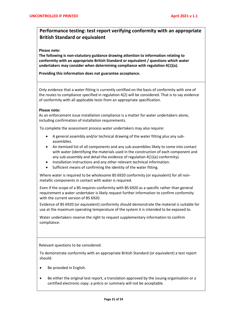# **Performance testing: test report verifying conformity with an appropriate British Standard or equivalent**

#### **Please note:**

**The following is non-statutory guidance drawing attention to information relating to conformity with an appropriate British Standard or equivalent / questions which water undertakers may consider when determining compliance with regulation 4(1)(a).** 

**Providing this information does not guarantee acceptance.** 

Only evidence that a water fitting is currently certified on the basis of conformity with one of the routes to compliance specified in regulation 4(2) will be considered. That is to say evidence of conformity with all applicable tests from an appropriate specification.

#### **Please note:**

As an enforcement issue installation compliance is a matter for water undertakers alone, including confirmation of installation requirements.

To complete the assessment process water undertakers may also require:

- A general assembly and/or technical drawing of the water fitting plus any subassemblies.
- An itemised list of all components and any sub-assemblies likely to come into contact with water (identifying the materials used in the construction of each component and any sub-assembly and detail the evidence of regulation 4(1)(a) conformity).
- Installation instructions and any other relevant technical information.
- Sufficient means of confirming the identity of the water fitting.

Where water is required to be wholesome BS 6920 conformity (or equivalent) for all nonmetallic components in contact with water is required.

Even if the scope of a BS requires conformity with BS 6920 as a specific rather than general requirement a water undertaker is likely request further information to confirm conformity with the current version of BS 6920.

Evidence of BS 6920 (or equivalent) conformity should demonstrate the material is suitable for use at the maximum operating temperature of the system it is intended to be exposed to.

Water undertakers reserve the right to request supplementary information to confirm compliance.

Relevant questions to be considered:

To demonstrate conformity with an appropriate British Standard (or equivalent) a test report should:

- Be provided in English.
- Be either the original test report, a translation approved by the issuing organisation or a certified electronic copy: a précis or summary will not be acceptable.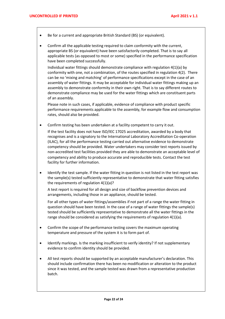- Be for a current and appropriate British Standard (BS) (or equivalent).
- Confirm all the applicable testing required to claim conformity with the current, appropriate BS (or equivalent) have been satisfactorily completed. That is to say all applicable tests (as opposed to most or some) specified in the performance specification have been completed successfully.

Individual water fittings should demonstrate compliance with regulation 4(1)(a) by conformity with one, not a combination, of the routes specified in regulation 4(2). There can be no 'mixing and matching' of performance specifications except in the case of an assembly of water fittings. It may be acceptable for individual water fittings making up an assembly to demonstrate conformity in their own right. That is to say different routes to demonstrate compliance may be used for the water fittings which are constituent parts of an assembly.

Please note in such cases, if applicable, evidence of compliance with product specific performance requirements applicable to the assembly, for example flow and consumption rates, should also be provided.

• Confirm testing has been undertaken at a facility competent to carry it out.

If the test facility does not have ISO/IEC 17025 accreditation, awarded by a body that recognises and is a signatory to the International Laboratory Accreditation Co-operation (ILAC), for all the performance testing carried out alternative evidence to demonstrate competency should be provided. Water undertakers may consider test reports issued by non-accredited test facilities provided they are able to demonstrate an acceptable level of competency and ability to produce accurate and reproducible tests. Contact the test facility for further information.

• Identify the test sample. If the water fitting in question is not listed in the test report was the sample(s) tested sufficiently representative to demonstrate that water fitting satisfies the requirements of regulation 4(1)(a)?

A test report is required for all design and size of backflow prevention devices and arrangements, including those in an appliance, should be tested.

For all other types of water fittings/assemblies if not part of a range the water fitting in question should have been tested. In the case of a range of water fittings the sample(s) tested should be sufficiently representative to demonstrate all the water fittings in the range should be considered as satisfying the requirements of regulation 4(1)(a).

- Confirm the scope of the performance testing covers the maximum operating temperature and pressure of the system it is to form part of.
- Identify markings. Is the marking insufficient to verify identity? If not supplementary evidence to confirm identity should be provided.
- All test reports should be supported by an acceptable manufacturer's declaration. This should include confirmation there has been no modification or alteration to the product since it was tested, and the sample tested was drawn from a representative production batch.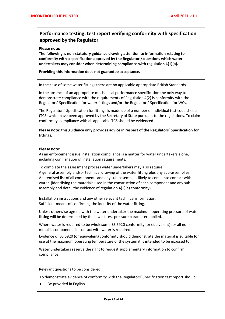# **Performance testing: test report verifying conformity with specification approved by the Regulator**

**Please note:**

**The following is non-statutory guidance drawing attention to information relating to conformity with a specification approved by the Regulator / questions which water undertakers may consider when determining compliance with regulation 4(1)(a).** 

**Providing this information does not guarantee acceptance.** 

In the case of some water fittings there are no applicable appropriate British Standards.

In the absence of an appropriate mechanical performance specification the only way to demonstrate compliance with the requirements of Regulation 4(2) is conformity with the Regulators' Specification for water fittings and/or the Regulators' Specification for WCs.

The Regulators' Specification for fittings is made up of a number of individual test code sheets (TCS) which have been approved by the Secretary of State pursuant to the regulations. To claim conformity, compliance with all applicable TCS should be evidenced.

**Please note: this guidance only provides advice in respect of the Regulators' Specification for fittings.** 

#### **Please note:**

As an enforcement issue installation compliance is a matter for water undertakers alone, including confirmation of installation requirements.

To complete the assessment process water undertakers may also require: • A general assembly and/or technical drawing of the water fitting plus any sub-assemblies. • An itemised list of all components and any sub-assemblies likely to come into contact with water. (identifying the materials used in the construction of each component and any subassembly and detail the evidence of regulation 4(1)(a) conformity).

Installation instructions and any other relevant technical information. Sufficient means of confirming the identity of the water fitting.

Unless otherwise agreed with the water undertaker the maximum operating pressure of water fitting will be determined by the lowest test pressure parameter applied.

Where water is required to be wholesome BS 6920 conformity (or equivalent) for all nonmetallic components in contact with water is required.

Evidence of BS 6920 (or equivalent) conformity should demonstrate the material is suitable for use at the maximum operating temperature of the system it is intended to be exposed to.

Water undertakers reserve the right to request supplementary information to confirm compliance.

Relevant questions to be considered:

To demonstrate evidence of conformity with the Regulators' Specification test report should:

Be provided in English.